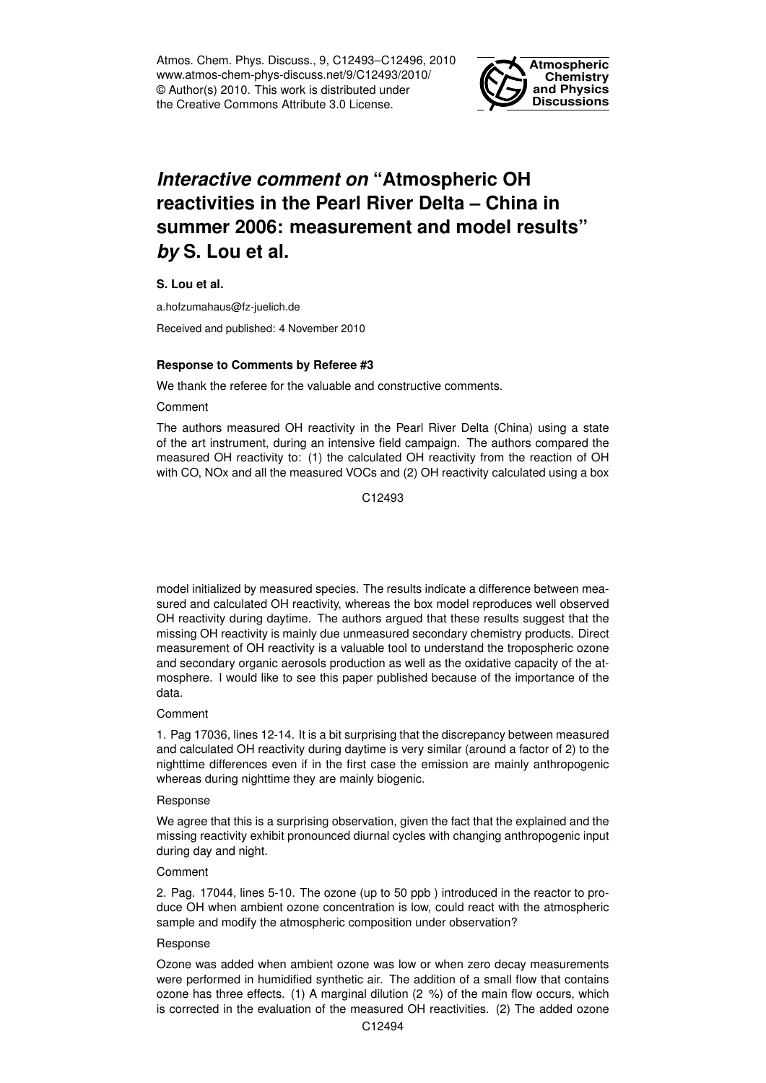Atmos. Chem. Phys. Discuss., 9, C12493–C12496, 2010 www.atmos-chem-phys-discuss.net/9/C12493/2010/ © Author(s) 2010. This work is distributed under the Creative Commons Attribute 3.0 License.



# *Interactive comment on* **"Atmospheric OH reactivities in the Pearl River Delta – China in summer 2006: measurement and model results"** *by* **S. Lou et al.**

**S. Lou et al.**

a.hofzumahaus@fz-juelich.de

Received and published: 4 November 2010

# **Response to Comments by Referee #3**

We thank the referee for the valuable and constructive comments.

Comment

The authors measured OH reactivity in the Pearl River Delta (China) using a state of the art instrument, during an intensive field campaign. The authors compared the measured OH reactivity to: (1) the calculated OH reactivity from the reaction of OH with CO, NOx and all the measured VOCs and (2) OH reactivity calculated using a box

C<sub>12493</sub>

model initialized by measured species. The results indicate a difference between measured and calculated OH reactivity, whereas the box model reproduces well observed OH reactivity during daytime. The authors argued that these results suggest that the missing OH reactivity is mainly due unmeasured secondary chemistry products. Direct measurement of OH reactivity is a valuable tool to understand the tropospheric ozone and secondary organic aerosols production as well as the oxidative capacity of the atmosphere. I would like to see this paper published because of the importance of the data.

# Comment

1. Pag 17036, lines 12-14. It is a bit surprising that the discrepancy between measured and calculated OH reactivity during daytime is very similar (around a factor of 2) to the nighttime differences even if in the first case the emission are mainly anthropogenic whereas during nighttime they are mainly biogenic.

# Response

We agree that this is a surprising observation, given the fact that the explained and the missing reactivity exhibit pronounced diurnal cycles with changing anthropogenic input during day and night.

# Comment

2. Pag. 17044, lines 5-10. The ozone (up to 50 ppb ) introduced in the reactor to produce OH when ambient ozone concentration is low, could react with the atmospheric sample and modify the atmospheric composition under observation?

# Response

Ozone was added when ambient ozone was low or when zero decay measurements were performed in humidified synthetic air. The addition of a small flow that contains ozone has three effects. (1) A marginal dilution (2 %) of the main flow occurs, which is corrected in the evaluation of the measured OH reactivities. (2) The added ozone